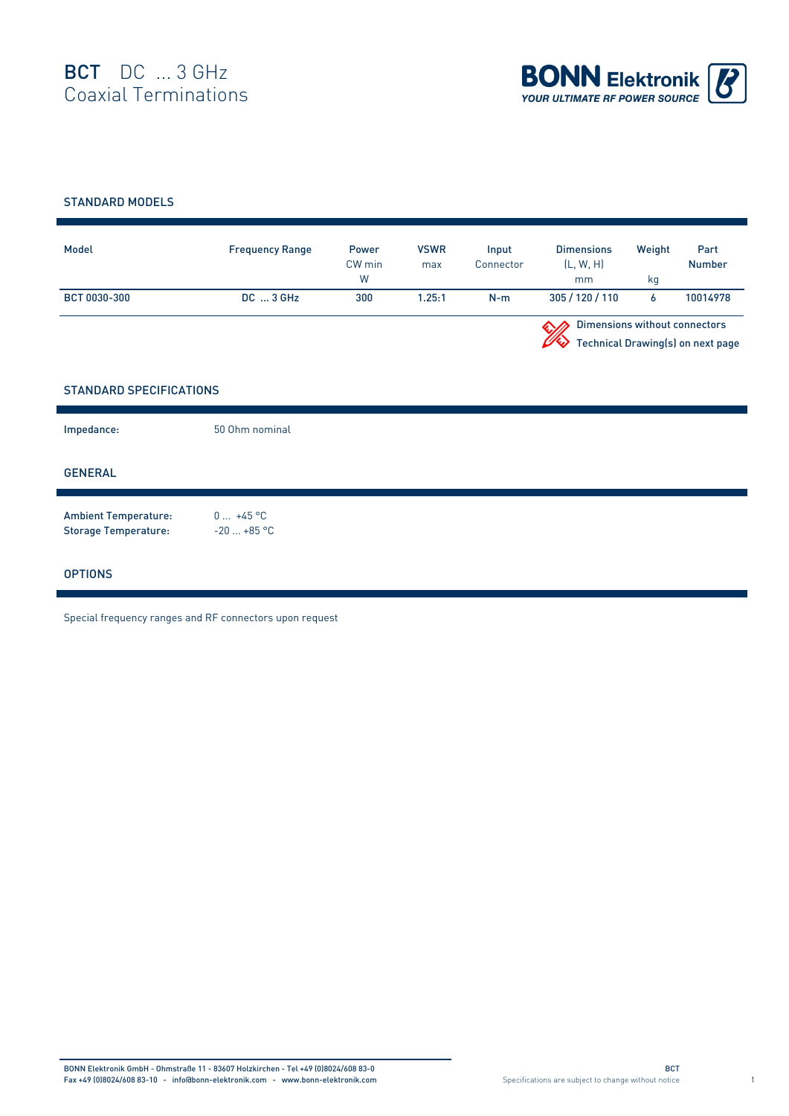

## STANDARD MODELS

| Model        | <b>Frequency Range</b> | Power<br>CW min<br>W | <b>VSWR</b><br>max | Input<br>Connector | <b>Dimensions</b><br>(L, W, H)<br>mm | Weight<br>ka                                                              | Part<br><b>Number</b> |  |
|--------------|------------------------|----------------------|--------------------|--------------------|--------------------------------------|---------------------------------------------------------------------------|-----------------------|--|
| BCT 0030-300 | $DC \dots 3$ GHz       | 300                  | 1.25:1             | $N-m$              | 305/120/110                          | Ô                                                                         | 10014978              |  |
|              |                        |                      |                    |                    |                                      | <b>Dimensions without connectors</b><br>Technical Drawing(s) on next page |                       |  |

## STANDARD SPECIFICATIONS

| Impedance:                                                 | 50 Ohm nominal            |
|------------------------------------------------------------|---------------------------|
| <b>GENERAL</b>                                             |                           |
| <b>Ambient Temperature:</b><br><b>Storage Temperature:</b> | $0 +45 °C$<br>$-20+85$ °C |
| <b>OPTIONS</b>                                             |                           |

Special frequency ranges and RF connectors upon request